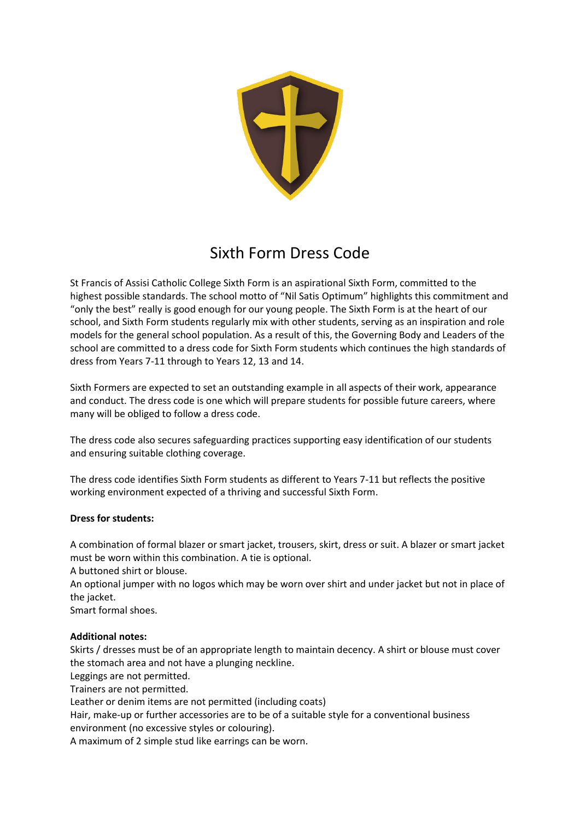

## Sixth Form Dress Code

St Francis of Assisi Catholic College Sixth Form is an aspirational Sixth Form, committed to the highest possible standards. The school motto of "Nil Satis Optimum" highlights this commitment and "only the best" really is good enough for our young people. The Sixth Form is at the heart of our school, and Sixth Form students regularly mix with other students, serving as an inspiration and role models for the general school population. As a result of this, the Governing Body and Leaders of the school are committed to a dress code for Sixth Form students which continues the high standards of dress from Years 7-11 through to Years 12, 13 and 14.

Sixth Formers are expected to set an outstanding example in all aspects of their work, appearance and conduct. The dress code is one which will prepare students for possible future careers, where many will be obliged to follow a dress code.

The dress code also secures safeguarding practices supporting easy identification of our students and ensuring suitable clothing coverage.

The dress code identifies Sixth Form students as different to Years 7-11 but reflects the positive working environment expected of a thriving and successful Sixth Form.

## **Dress for students:**

A combination of formal blazer or smart jacket, trousers, skirt, dress or suit. A blazer or smart jacket must be worn within this combination. A tie is optional.

A buttoned shirt or blouse.

An optional jumper with no logos which may be worn over shirt and under jacket but not in place of the jacket.

Smart formal shoes.

## **Additional notes:**

Skirts / dresses must be of an appropriate length to maintain decency. A shirt or blouse must cover the stomach area and not have a plunging neckline.

Leggings are not permitted.

Trainers are not permitted.

Leather or denim items are not permitted (including coats)

Hair, make-up or further accessories are to be of a suitable style for a conventional business environment (no excessive styles or colouring).

A maximum of 2 simple stud like earrings can be worn.